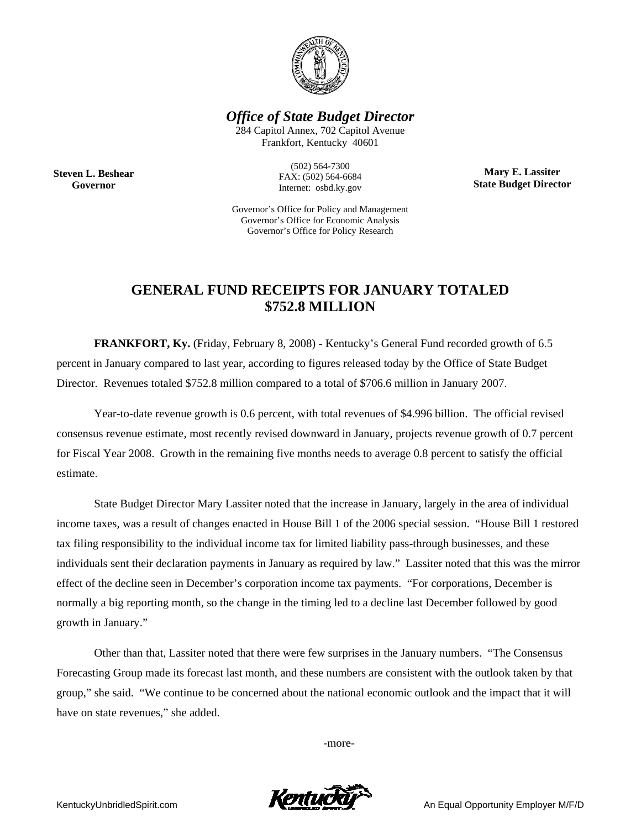

*Office of State Budget Director* 

284 Capitol Annex, 702 Capitol Avenue Frankfort, Kentucky 40601

**Steven L. Beshear Governor** 

(502) 564-7300 FAX: (502) 564-6684 Internet: osbd.ky.gov

**Mary E. Lassiter State Budget Director** 

Governor's Office for Policy and Management Governor's Office for Economic Analysis Governor's Office for Policy Research

## **GENERAL FUND RECEIPTS FOR JANUARY TOTALED \$752.8 MILLION**

**FRANKFORT, Ky.** (Friday, February 8, 2008) - Kentucky's General Fund recorded growth of 6.5 percent in January compared to last year, according to figures released today by the Office of State Budget Director. Revenues totaled \$752.8 million compared to a total of \$706.6 million in January 2007.

Year-to-date revenue growth is 0.6 percent, with total revenues of \$4.996 billion. The official revised consensus revenue estimate, most recently revised downward in January, projects revenue growth of 0.7 percent for Fiscal Year 2008. Growth in the remaining five months needs to average 0.8 percent to satisfy the official estimate.

State Budget Director Mary Lassiter noted that the increase in January, largely in the area of individual income taxes, was a result of changes enacted in House Bill 1 of the 2006 special session. "House Bill 1 restored tax filing responsibility to the individual income tax for limited liability pass-through businesses, and these individuals sent their declaration payments in January as required by law." Lassiter noted that this was the mirror effect of the decline seen in December's corporation income tax payments. "For corporations, December is normally a big reporting month, so the change in the timing led to a decline last December followed by good growth in January."

Other than that, Lassiter noted that there were few surprises in the January numbers. "The Consensus Forecasting Group made its forecast last month, and these numbers are consistent with the outlook taken by that group," she said. "We continue to be concerned about the national economic outlook and the impact that it will have on state revenues," she added.

-more-



KentuckyUnbridledSpirit.com **An Equal Opportunity Employer M/F/D**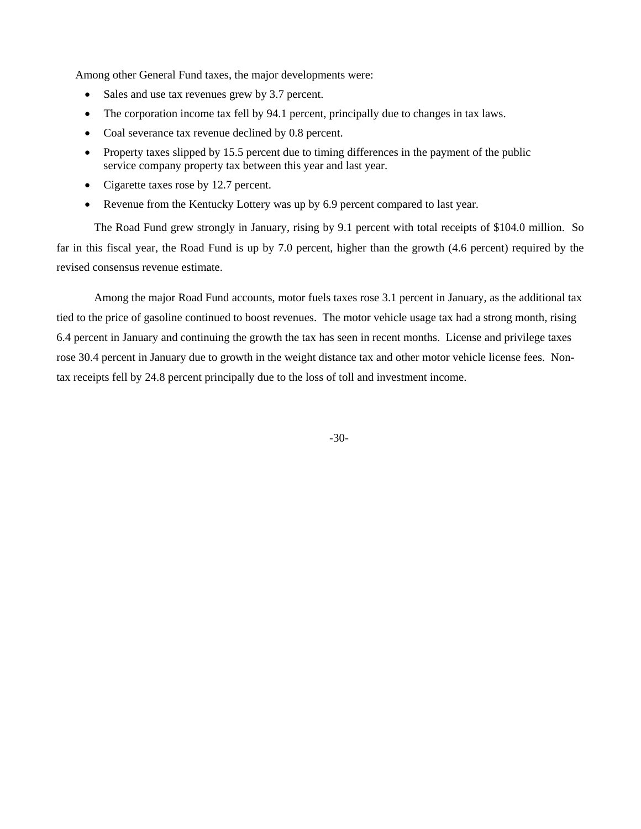Among other General Fund taxes, the major developments were:

- Sales and use tax revenues grew by 3.7 percent.
- The corporation income tax fell by 94.1 percent, principally due to changes in tax laws.
- Coal severance tax revenue declined by 0.8 percent.
- Property taxes slipped by 15.5 percent due to timing differences in the payment of the public service company property tax between this year and last year.
- Cigarette taxes rose by 12.7 percent.
- Revenue from the Kentucky Lottery was up by 6.9 percent compared to last year.

The Road Fund grew strongly in January, rising by 9.1 percent with total receipts of \$104.0 million. So far in this fiscal year, the Road Fund is up by 7.0 percent, higher than the growth (4.6 percent) required by the revised consensus revenue estimate.

Among the major Road Fund accounts, motor fuels taxes rose 3.1 percent in January, as the additional tax tied to the price of gasoline continued to boost revenues. The motor vehicle usage tax had a strong month, rising 6.4 percent in January and continuing the growth the tax has seen in recent months. License and privilege taxes rose 30.4 percent in January due to growth in the weight distance tax and other motor vehicle license fees. Nontax receipts fell by 24.8 percent principally due to the loss of toll and investment income.

-30-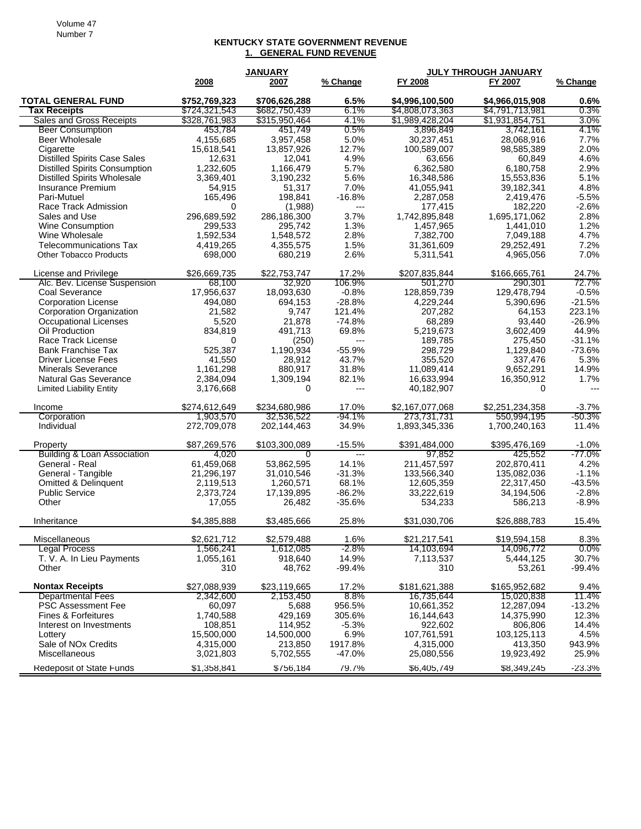## **KENTUCKY STATE GOVERNMENT REVENUE 1. GENERAL FUND REVENUE**

|                                      | <b>JANUARY</b> |               |                | <b>JULY THROUGH JANUARY</b> |                 |          |
|--------------------------------------|----------------|---------------|----------------|-----------------------------|-----------------|----------|
|                                      | 2008           | 2007          | % Change       | FY 2008                     | FY 2007         | % Change |
| <b>TOTAL GENERAL FUND</b>            | \$752,769,323  | \$706,626,288 | 6.5%           | \$4,996,100,500             | \$4,966,015,908 | 0.6%     |
| Tax Receipts                         | \$724,321,543  | \$682,750,439 | 6.1%           | \$4,808,073,363             | \$4,791,713,981 | 0.3%     |
| <b>Sales and Gross Receipts</b>      | \$328,761,983  | \$315,950,464 | 4.1%           | \$1,989,428,204             | \$1,931,854,751 | $3.0\%$  |
| <b>Beer Consumption</b>              | 453,784        | 451,749       | 0.5%           | 3,896,849                   | 3,742,161       | 4.1%     |
| Beer Wholesale                       | 4,155,685      | 3,957,458     | 5.0%           | 30,237,451                  | 28,068,916      | 7.7%     |
| Cigarette                            | 15,618,541     | 13,857,926    | 12.7%          | 100,589,007                 | 98,585,389      | 2.0%     |
| <b>Distilled Spirits Case Sales</b>  | 12,631         | 12,041        | 4.9%           | 63,656                      | 60,849          | 4.6%     |
| <b>Distilled Spirits Consumption</b> | 1,232,605      | 1,166,479     | 5.7%           | 6,362,580                   | 6,180,758       | 2.9%     |
| <b>Distilled Spirits Wholesale</b>   | 3,369,401      | 3,190,232     | 5.6%           | 16,348,586                  | 15,553,836      | 5.1%     |
| Insurance Premium                    | 54,915         | 51,317        | 7.0%           | 41,055,941                  | 39,182,341      | 4.8%     |
| Pari-Mutuel                          | 165,496        | 198,841       | $-16.8%$       | 2,287,058                   | 2,419,476       | $-5.5%$  |
| Race Track Admission                 | $\Omega$       | (1,988)       | $\overline{a}$ | 177,415                     | 182,220         | $-2.6%$  |
| Sales and Use                        | 296,689,592    | 286,186,300   | 3.7%           | 1,742,895,848               | 1,695,171,062   | 2.8%     |
| Wine Consumption                     | 299,533        | 295,742       | 1.3%           | 1,457,965                   | 1,441,010       | 1.2%     |
| Wine Wholesale                       | 1,592,534      | 1,548,572     | 2.8%           | 7,382,700                   | 7,049,188       | 4.7%     |
| <b>Telecommunications Tax</b>        | 4,419,265      | 4,355,575     | 1.5%           | 31,361,609                  | 29,252,491      | 7.2%     |
| <b>Other Tobacco Products</b>        | 698,000        | 680,219       | 2.6%           | 5,311,541                   | 4,965,056       | 7.0%     |
| License and Privilege                | \$26,669,735   | \$22,753,747  | 17.2%          | \$207,835,844               | \$166,665,761   | 24.7%    |
| Alc. Bev. License Suspension         | 68,100         | 32,920        | 106.9%         | 501,270                     | 290,301         | 72.7%    |
| Coal Severance                       | 17,956,637     | 18,093,630    | $-0.8%$        | 128,859,739                 | 129,478,794     | $-0.5%$  |
| <b>Corporation License</b>           | 494,080        | 694,153       | $-28.8%$       | 4,229,244                   | 5,390,696       | $-21.5%$ |
| Corporation Organization             | 21,582         | 9,747         | 121.4%         | 207,282                     | 64,153          | 223.1%   |
| Occupational Licenses                | 5,520          | 21,878        | $-74.8%$       | 68,289                      | 93,440          | $-26.9%$ |
| Oil Production                       | 834,819        | 491,713       | 69.8%          | 5,219,673                   | 3,602,409       | 44.9%    |
| Race Track License                   | 0              | (250)         | ---            | 189,785                     | 275,450         | $-31.1%$ |
| <b>Bank Franchise Tax</b>            | 525,387        | 1,190,934     | $-55.9%$       | 298.729                     | 1,129,840       | $-73.6%$ |
| <b>Driver License Fees</b>           | 41,550         | 28,912        | 43.7%          | 355,520                     | 337,476         | 5.3%     |
| <b>Minerals Severance</b>            | 1,161,298      | 880,917       | 31.8%          | 11,089,414                  | 9,652,291       | 14.9%    |
| <b>Natural Gas Severance</b>         | 2,384,094      | 1,309,194     | 82.1%          | 16,633,994                  | 16,350,912      | 1.7%     |
| <b>Limited Liability Entity</b>      | 3,176,668      | 0             | ---            | 40,182,907                  | 0               |          |
| Income                               | \$274,612,649  | \$234,680,986 | 17.0%          | \$2,167,077,068             | \$2,251,234,358 | $-3.7%$  |
| Corporation                          | 1,903,570      | 32,536,522    | -94.1%         | 273,731,731                 | 550,994,195     | -50.3%   |
| Individual                           | 272,709,078    | 202,144,463   | 34.9%          | 1,893,345,336               | 1,700,240,163   | 11.4%    |
| Property                             | \$87,269,576   | \$103,300,089 | $-15.5%$       | \$391,484,000               | \$395,476,169   | $-1.0%$  |
| Building & Loan Association          | 4,020          | 0             |                | 97,852                      | 425,552         | -77.0%   |
| General - Real                       | 61,459,068     | 53,862,595    | 14.1%          | 211,457,597                 | 202,870,411     | 4.2%     |
| General - Tangible                   | 21,296,197     | 31,010,546    | $-31.3%$       | 133,566,340                 | 135,082,036     | $-1.1%$  |
| Omitted & Delinquent                 | 2,119,513      | 1,260,571     | 68.1%          | 12,605,359                  | 22,317,450      | $-43.5%$ |
| <b>Public Service</b>                | 2,373,724      | 17,139,895    | $-86.2%$       | 33,222,619                  | 34,194,506      | $-2.8%$  |
| Other                                | 17,055         | 26,482        | $-35.6%$       | 534,233                     | 586,213         | $-8.9%$  |
| Inheritance                          | \$4,385,888    | \$3,485,666   | 25.8%          | \$31,030,706                | \$26,888,783    | 15.4%    |
| Miscellaneous                        | \$2,621,712    | \$2,579,488   | 1.6%           | \$21,217,541                | \$19,594,158    | 8.3%     |
| Legal Process                        | 1,566,241      | 1,612,085     | -2.8%          | 14,103,694                  | 14,096,772      | $0.0\%$  |
| T. V. A. In Lieu Payments            | 1,055,161      | 918,640       | 14.9%          | 7,113,537                   | 5,444,125       | 30.7%    |
| Other                                | 310            | 48,762        | $-99.4%$       | 310                         | 53,261          | $-99.4%$ |
| <b>Nontax Receipts</b>               | \$27,088,939   | \$23,119,665  | 17.2%          | \$181,621,388               | \$165,952,682   | 9.4%     |
| <b>Departmental Fees</b>             | 2,342,600      | 2,153,450     | 8.8%           | 16,735,644                  | 15,020,838      | 11.4%    |
| <b>PSC Assessment Fee</b>            | 60,097         | 5,688         | 956.5%         | 10,661,352                  | 12,287,094      | $-13.2%$ |
| Fines & Forfeitures                  | 1,740,588      | 429,169       | 305.6%         | 16,144,643                  | 14,375,990      | 12.3%    |
| Interest on Investments              | 108,851        | 114,952       | $-5.3%$        | 922,602                     | 806,806         | 14.4%    |
| Lottery                              | 15,500,000     | 14,500,000    | 6.9%           | 107,761,591                 | 103,125,113     | 4.5%     |
| Sale of NO <sub>x</sub> Credits      | 4,315,000      | 213,850       | 1917.8%        | 4,315,000                   | 413,350         | 943.9%   |
| Miscellaneous                        | 3,021,803      | 5,702,555     | $-47.0%$       | 25,080,556                  | 19,923,492      | 25.9%    |
| Redeposit of State Funds             | \$1,358,841    | \$756,184     | 79.7%          | \$6,405,749                 | \$8,349,245     | $-23.3%$ |
|                                      |                |               |                |                             |                 |          |